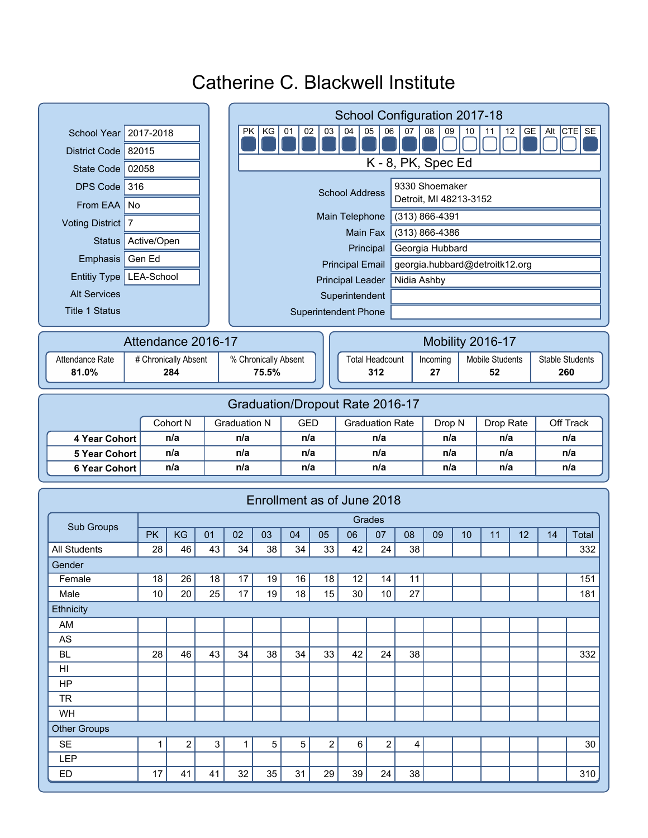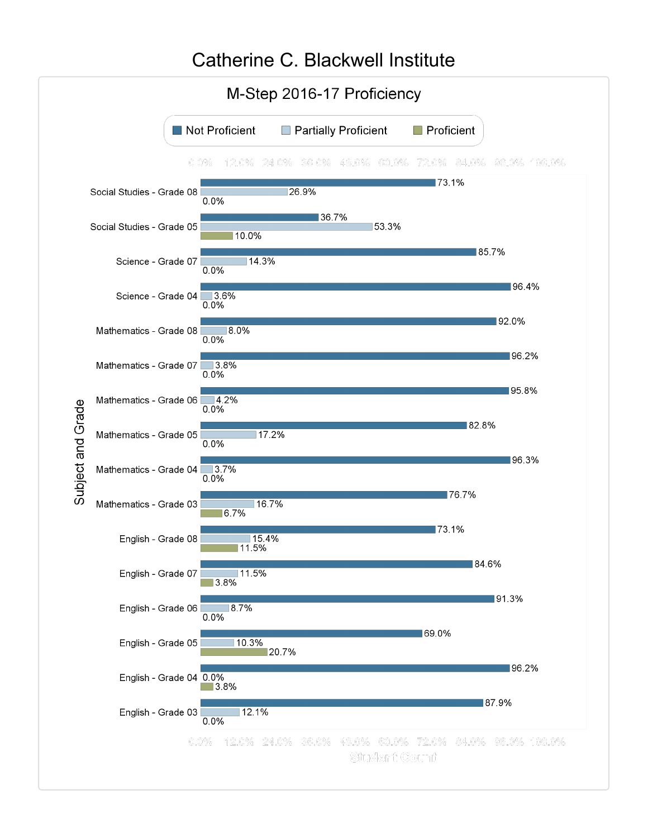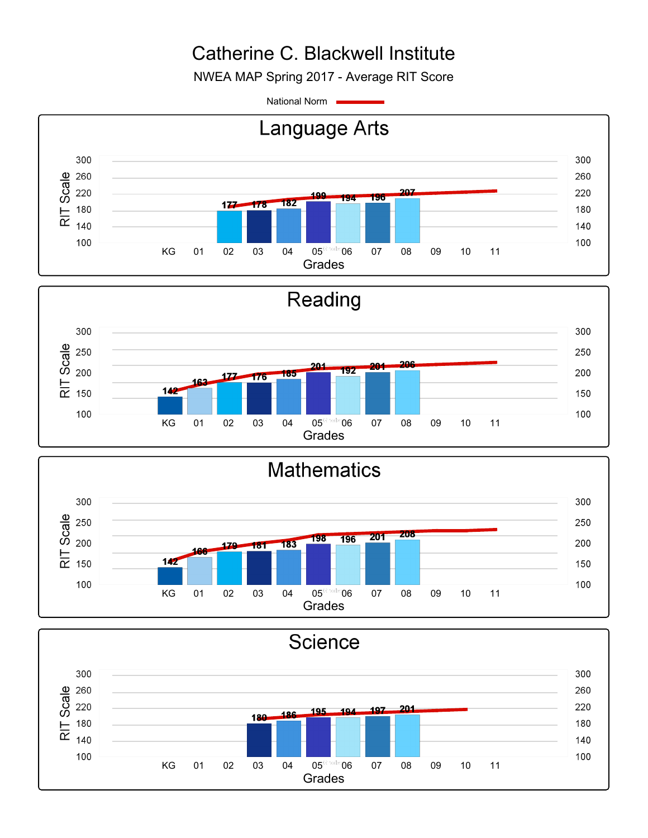NWEA MAP Spring 2017 - Average RIT Score

National Norm